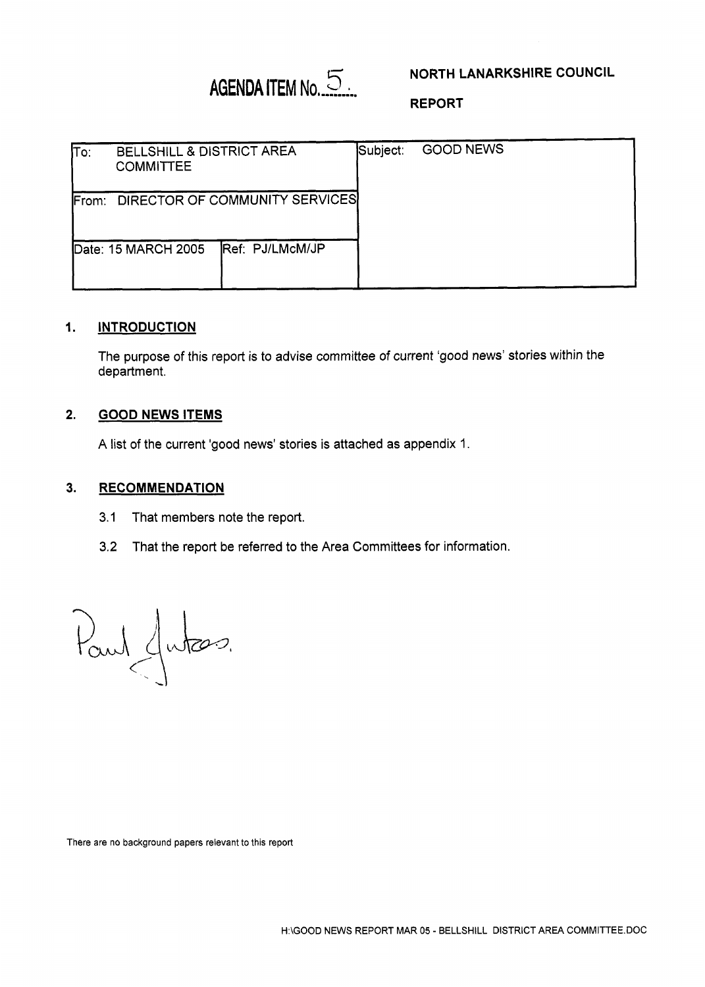# **AGENDA ITEM No. 5**

# **NORTH LANARKSHIRE COUNCIL**

**REPORT** 

| ۱Tο:                                            | BELLSHILL & DISTRICT AREA<br><b>COMMITTEE</b> |                         | Subject: | <b>GOOD NEWS</b> |
|-------------------------------------------------|-----------------------------------------------|-------------------------|----------|------------------|
| DIRECTOR OF COMMUNITY SERVICES<br><b>IFrom:</b> |                                               |                         |          |                  |
|                                                 | Date: 15 MARCH 2005                           | <b>IRef: PJ/LMcM/JP</b> |          |                  |

#### **1. INTRODUCTION**

The purpose of this report is *to* advise committee of current 'good news' stories within the department.

#### **2. GOOD NEWS ITEMS**

A list of the current 'good news' stories is attached as appendix 1.

#### **3. RECOMMENDATION**

- 3.1 That members note the report.
- 3.2 That the report be referred to the Area Committees for information.

Paul Jutes.

There are no background papers relevant to **this** report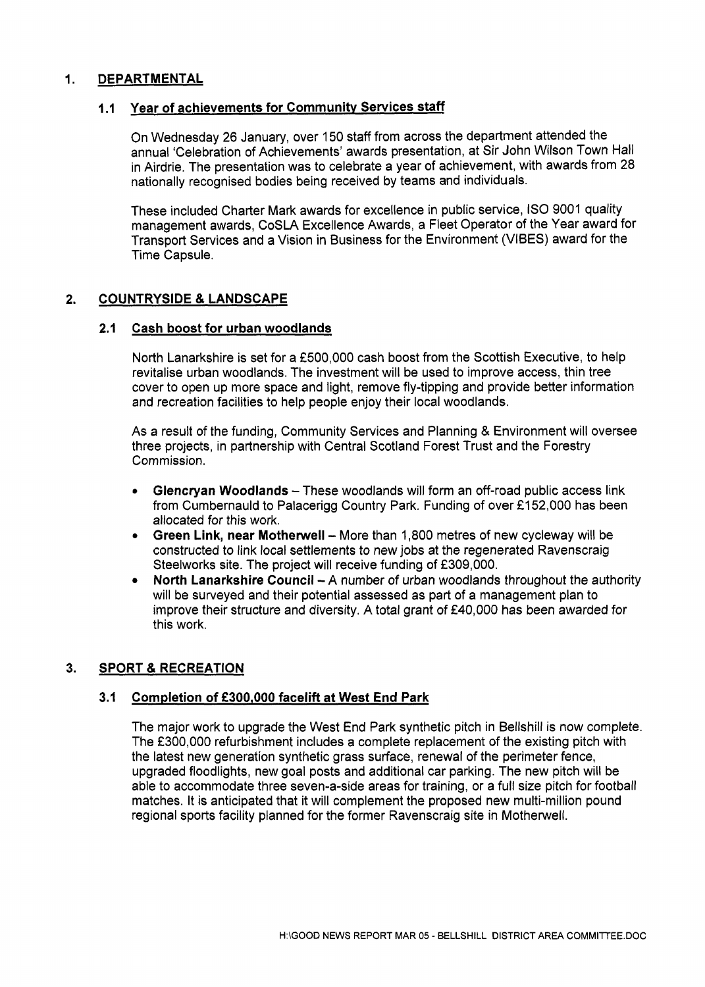# **1. DEPARTMENTAL**

## **1 .I Year of achievements for Communitv Services staff**

On Wednesday 26 January, over 150 staff from across the department attended the annual 'Celebration of Achievements' awards presentation, at Sir John Wilson Town Hall in Airdrie. The presentation was to celebrate a year of achievement, with awards from 28 nationally recognised bodies being received by teams and individuals.

These included Charter Mark awards for excellence in public service, IS0 9001 quality management awards, CoSLA Excellence Awards, a Fleet Operator of the Year award for Transport Services and a Vision in Business for the Environment (VIBES) award for the Time Capsule.

## **2. COUNTRYSIDE** & **LANDSCAPE**

## **2.1 Cash boost for urban woodlands**

North Lanarkshire is set for a **f500,000** cash boost from the Scottish Executive, to help revitalise urban woodlands. The investment will be used to improve access, thin tree cover to open up more space and light, remove fly-tipping and provide better information and recreation facilities to help people enjoy their local woodlands.

As a result of the funding, Community Services and Planning & Environment will oversee three projects, in partnership with Central Scotland Forest Trust and the Forestry Commission.

- *<sup>0</sup>***Glencryan Woodlands**  These woodlands will form an off-road public access link from Cumbernauld to Palacerigg Country Park. Funding of over £152,000 has been allocated for this work.
- Green Link, near Motherwell More than 1,800 metres of new cycleway will be constructed to link local settlements to new jobs at the regenerated Ravenscraig Steelworks site. The project will receive funding of £309,000.
- **North Lanarkshire Council A number of urban woodlands throughout the authority**  $\bullet$ will be surveyed and their potential assessed as part of a management plan to improve their structure and diversity. A total grant of  $E40,000$  has been awarded for this work.

# **3. SPORT** & **RECREATION**

#### **3.1 Completion of** *f300,OOO* **facelift at West End Park**

The major work to upgrade the West End Park synthetic pitch in Bellshill is now complete. The £300,000 refurbishment includes a complete replacement of the existing pitch with the latest new generation synthetic grass surface, renewal of the perimeter fence, upgraded floodlights, new goal posts and additional car parking. The new pitch will be able to accommodate three seven-a-side areas for training, or a full size pitch for football matches. It is anticipated that it will complement the proposed new multi-million pound regional sports facility planned for the former Ravenscraig site in Motherwell.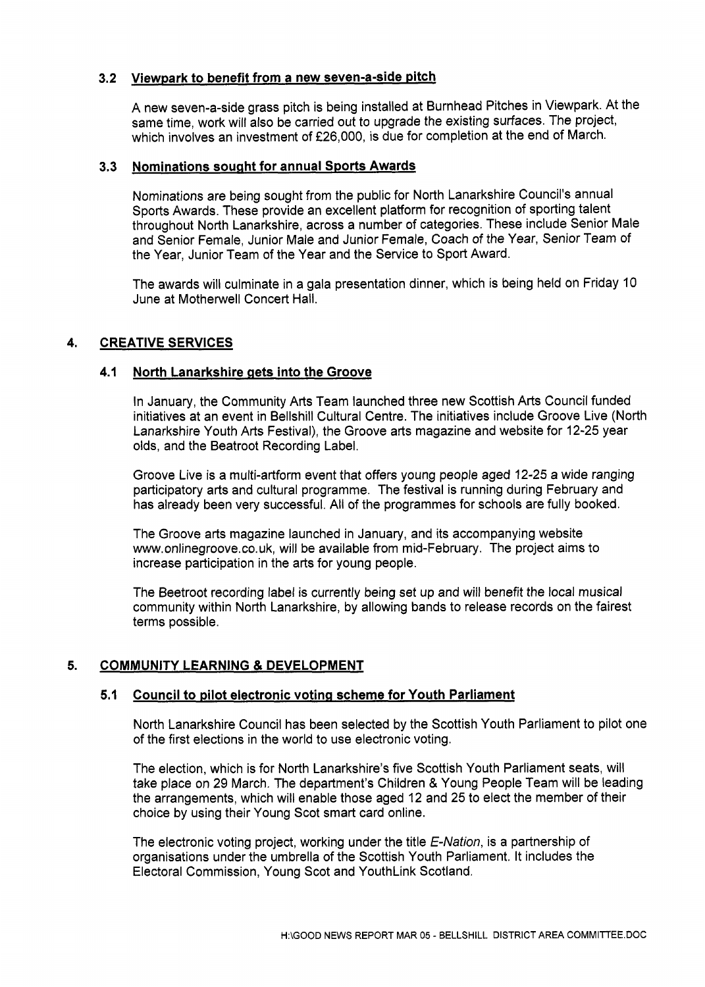# **3.2 Viewpark to benefit from a new seven-a-side pitch**

A new seven-a-side grass pitch is being installed at Burnhead Pitches in Viewpark. At the same time, work will also be carried out to upgrade the existing surfaces. The project, which involves an investment of **f26,000,** is due for completion at the end of March.

#### **3.3 Nominations sought for annual Sports Awards**

Nominations are being sought from the public for North Lanarkshire Council's annual Sports Awards. These provide an excellent platform for recognition of sporting talent throughout North Lanarkshire, across a number of categories. These include Senior Male and Senior Female, Junior Male and Junior Female, Coach of the Year, Senior Team of the Year, Junior Team of the Year and the Service to Sport Award.

The awards will culminate in a gala presentation dinner, which is being held on Friday 10 June at Motherwell Concert Hall.

# **4. CREATIVE SERVICES**

# **4.1 North Lanarkshire gets into the Groove**

In January, the Community **Arts** Team launched three new Scottish Arts Council funded initiatives at an event in Bellshill Cultural Centre. The initiatives include Groove Live (North Lanarkshire Youth **Arts** Festival), the Groove arts magazine and website for **12-25** year olds, and the Beatroot Recording Label.

Groove Live is a multi-artform event that offers young people aged **12-25** a wide ranging participatory arts and cultural programme. The festival is running during February and has already been very successful. All of the programmes for schools are fully booked.

The Groove arts magazine launched in January, and its accompanying website [www.onlinegroove.co.uk,](http://www.onlinegroove.co.uk) will be available from mid-February. The project aims to increase participation in the arts for young people.

The Beetroot recording label is currently being set up and will benefit the local musical community within North Lanarkshire, by allowing bands to release records on the fairest terms possible.

# **5. COMMUNITY LEARNING** & **DEVELOPMENT**

# **5.1 Council to pilot electronic voting scheme for Youth Parliament**

North Lanarkshire Council has been selected by the Scottish Youth Parliament to pilot one of the first elections in the world to use electronic voting.

The election, which is for North Lanarkshire's five Scottish Youth Parliament seats, will take place on 29 March. The department's Children & Young People Team will be leading the arrangements, which will enable those aged 12 and 25 to elect the member of their choice by using their Young Scot smart card online.

The electronic voting project, working under the title *€-Nation,* is a partnership of organisations under the umbrella of the Scottish Youth Parliament. It includes the Electoral Commission, Young Scot and YouthLink Scotland.